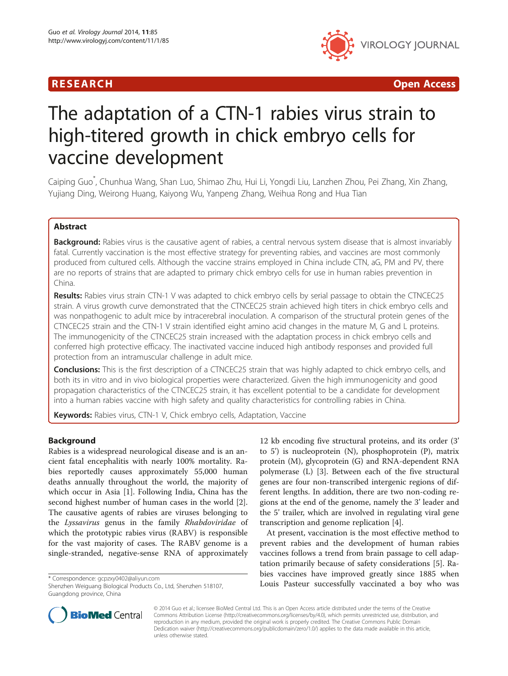



# The adaptation of a CTN-1 rabies virus strain to high-titered growth in chick embryo cells for vaccine development

Caiping Guo\* , Chunhua Wang, Shan Luo, Shimao Zhu, Hui Li, Yongdi Liu, Lanzhen Zhou, Pei Zhang, Xin Zhang, Yujiang Ding, Weirong Huang, Kaiyong Wu, Yanpeng Zhang, Weihua Rong and Hua Tian

# Abstract

**Background:** Rabies virus is the causative agent of rabies, a central nervous system disease that is almost invariably fatal. Currently vaccination is the most effective strategy for preventing rabies, and vaccines are most commonly produced from cultured cells. Although the vaccine strains employed in China include CTN, aG, PM and PV, there are no reports of strains that are adapted to primary chick embryo cells for use in human rabies prevention in China.

Results: Rabies virus strain CTN-1 V was adapted to chick embryo cells by serial passage to obtain the CTNCEC25 strain. A virus growth curve demonstrated that the CTNCEC25 strain achieved high titers in chick embryo cells and was nonpathogenic to adult mice by intracerebral inoculation. A comparison of the structural protein genes of the CTNCEC25 strain and the CTN-1 V strain identified eight amino acid changes in the mature M, G and L proteins. The immunogenicity of the CTNCEC25 strain increased with the adaptation process in chick embryo cells and conferred high protective efficacy. The inactivated vaccine induced high antibody responses and provided full protection from an intramuscular challenge in adult mice.

**Conclusions:** This is the first description of a CTNCEC25 strain that was highly adapted to chick embryo cells, and both its in vitro and in vivo biological properties were characterized. Given the high immunogenicity and good propagation characteristics of the CTNCEC25 strain, it has excellent potential to be a candidate for development into a human rabies vaccine with high safety and quality characteristics for controlling rabies in China.

Keywords: Rabies virus, CTN-1 V, Chick embryo cells, Adaptation, Vaccine

# Background

Rabies is a widespread neurological disease and is an ancient fatal encephalitis with nearly 100% mortality. Rabies reportedly causes approximately 55,000 human deaths annually throughout the world, the majority of which occur in Asia [[1\]](#page-7-0). Following India, China has the second highest number of human cases in the world [\[2](#page-7-0)]. The causative agents of rabies are viruses belonging to the Lyssavirus genus in the family Rhabdoviridae of which the prototypic rabies virus (RABV) is responsible for the vast majority of cases. The RABV genome is a single-stranded, negative-sense RNA of approximately

12 kb encoding five structural proteins, and its order (3' to 5') is nucleoprotein (N), phosphoprotein (P), matrix protein (M), glycoprotein (G) and RNA-dependent RNA polymerase (L) [[3\]](#page-7-0). Between each of the five structural genes are four non-transcribed intergenic regions of different lengths. In addition, there are two non-coding regions at the end of the genome, namely the 3' leader and the 5' trailer, which are involved in regulating viral gene transcription and genome replication [[4\]](#page-7-0).

At present, vaccination is the most effective method to prevent rabies and the development of human rabies vaccines follows a trend from brain passage to cell adaptation primarily because of safety considerations [[5\]](#page-7-0). Rabies vaccines have improved greatly since 1885 when Louis Pasteur successfully vaccinated a boy who was \* Correspondence: [gcpzxy0402@aliyun.com](mailto:gcpzxy0402@aliyun.com)



© 2014 Guo et al.; licensee BioMed Central Ltd. This is an Open Access article distributed under the terms of the Creative Commons Attribution License [\(http://creativecommons.org/licenses/by/4.0\)](http://creativecommons.org/licenses/by/4.0), which permits unrestricted use, distribution, and reproduction in any medium, provided the original work is properly credited. The Creative Commons Public Domain Dedication waiver [\(http://creativecommons.org/publicdomain/zero/1.0/](http://creativecommons.org/publicdomain/zero/1.0/)) applies to the data made available in this article, unless otherwise stated.

Shenzhen Weiguang Biological Products Co., Ltd, Shenzhen 518107, Guangdong province, China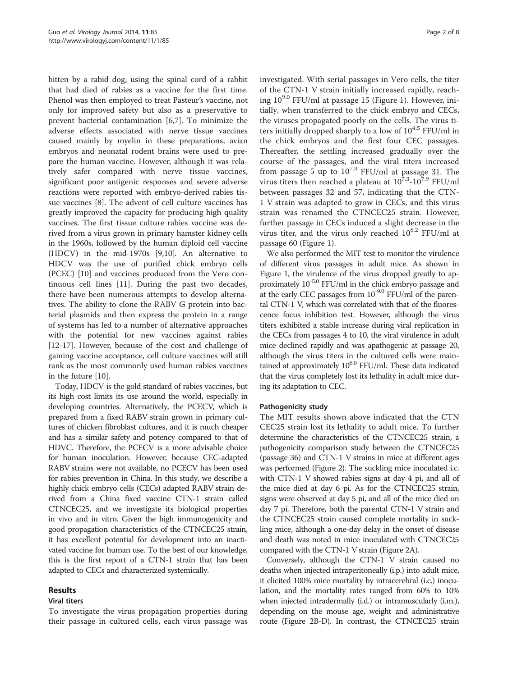bitten by a rabid dog, using the spinal cord of a rabbit that had died of rabies as a vaccine for the first time. Phenol was then employed to treat Pasteur's vaccine, not only for improved safety but also as a preservative to prevent bacterial contamination [[6,7\]](#page-7-0). To minimize the adverse effects associated with nerve tissue vaccines caused mainly by myelin in these preparations, avian embryos and neonatal rodent brains were used to prepare the human vaccine. However, although it was relatively safer compared with nerve tissue vaccines, significant poor antigenic responses and severe adverse reactions were reported with embryo-derived rabies tissue vaccines [\[8](#page-7-0)]. The advent of cell culture vaccines has greatly improved the capacity for producing high quality vaccines. The first tissue culture rabies vaccine was derived from a virus grown in primary hamster kidney cells in the 1960s, followed by the human diploid cell vaccine (HDCV) in the mid-1970s [\[9,10](#page-7-0)]. An alternative to HDCV was the use of purified chick embryo cells (PCEC) [\[10](#page-7-0)] and vaccines produced from the Vero continuous cell lines [[11\]](#page-7-0). During the past two decades, there have been numerous attempts to develop alternatives. The ability to clone the RABV G protein into bacterial plasmids and then express the protein in a range of systems has led to a number of alternative approaches with the potential for new vaccines against rabies [[12-17](#page-7-0)]. However, because of the cost and challenge of gaining vaccine acceptance, cell culture vaccines will still rank as the most commonly used human rabies vaccines in the future [\[10](#page-7-0)].

Today, HDCV is the gold standard of rabies vaccines, but its high cost limits its use around the world, especially in developing countries. Alternatively, the PCECV, which is prepared from a fixed RABV strain grown in primary cultures of chicken fibroblast cultures, and it is much cheaper and has a similar safety and potency compared to that of HDVC. Therefore, the PCECV is a more advisable choice for human inoculation. However, because CEC-adapted RABV strains were not available, no PCECV has been used for rabies prevention in China. In this study, we describe a highly chick embryo cells (CECs) adapted RABV strain derived from a China fixed vaccine CTN-1 strain called CTNCEC25, and we investigate its biological properties in vivo and in vitro. Given the high immunogenicity and good propagation characteristics of the CTNCEC25 strain, it has excellent potential for development into an inactivated vaccine for human use. To the best of our knowledge, this is the first report of a CTN-1 strain that has been adapted to CECs and characterized systemically.

# Results

## Viral titers

To investigate the virus propagation properties during their passage in cultured cells, each virus passage was investigated. With serial passages in Vero cells, the titer of the CTN-1 V strain initially increased rapidly, reaching  $10^{9.0}$  FFU/ml at passage 15 (Figure [1\)](#page-2-0). However, initially, when transferred to the chick embryo and CECs, the viruses propagated poorly on the cells. The virus titers initially dropped sharply to a low of  $10^{4.5}$  FFU/ml in the chick embryos and the first four CEC passages. Thereafter, the settling increased gradually over the course of the passages, and the viral titers increased from passage 5 up to  $10^{7.3}$  FFU/ml at passage 31. The virus titers then reached a plateau at  $10^{7.3}$ - $10^{7.9}$  FFU/ml between passages 32 and 57, indicating that the CTN-1 V strain was adapted to grow in CECs, and this virus strain was renamed the CTNCEC25 strain. However, further passage in CECs induced a slight decrease in the virus titer, and the virus only reached  $10^{6.2}$  FFU/ml at passage 60 (Figure [1\)](#page-2-0).

We also performed the MIT test to monitor the virulence of different virus passages in adult mice. As shown in Figure [1,](#page-2-0) the virulence of the virus dropped greatly to approximately 10-5.0 FFU/ml in the chick embryo passage and at the early CEC passages from  $10^{-9.0}$  FFU/ml of the parental CTN-1 V, which was correlated with that of the fluorescence focus inhibition test. However, although the virus titers exhibited a stable increase during viral replication in the CECs from passages 4 to 10, the viral virulence in adult mice declined rapidly and was apathogenic at passage 20, although the virus titers in the cultured cells were maintained at approximately  $10^{6.0}$  FFU/ml. These data indicated that the virus completely lost its lethality in adult mice during its adaptation to CEC.

## Pathogenicity study

The MIT results shown above indicated that the CTN CEC25 strain lost its lethality to adult mice. To further determine the characteristics of the CTNCEC25 strain, a pathogenicity comparison study between the CTNCEC25 (passage 36) and CTN-1 V strains in mice at different ages was performed (Figure [2](#page-2-0)). The suckling mice inoculated i.c. with CTN-1 V showed rabies signs at day 4 pi, and all of the mice died at day 6 pi. As for the CTNCEC25 strain, signs were observed at day 5 pi, and all of the mice died on day 7 pi. Therefore, both the parental CTN-1 V strain and the CTNCEC25 strain caused complete mortality in suckling mice, although a one-day delay in the onset of disease and death was noted in mice inoculated with CTNCEC25 compared with the CTN-1 V strain (Figure [2](#page-2-0)A).

Conversely, although the CTN-1 V strain caused no deaths when injected intraperitoneally (i.p.) into adult mice, it elicited 100% mice mortality by intracerebral (i.c.) inoculation, and the mortality rates ranged from 60% to 10% when injected intradermally (i.d.) or intramuscularly (i.m.), depending on the mouse age, weight and administrative route (Figure [2B](#page-2-0)-D). In contrast, the CTNCEC25 strain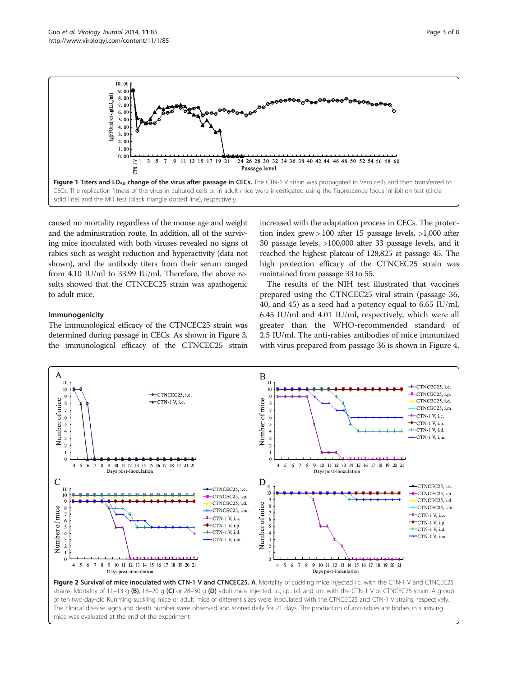<span id="page-2-0"></span>

caused no mortality regardless of the mouse age and weight and the administration route. In addition, all of the surviving mice inoculated with both viruses revealed no signs of rabies such as weight reduction and hyperactivity (data not shown), and the antibody titers from their serum ranged from 4.10 IU/ml to 33.99 IU/ml. Therefore, the above results showed that the CTNCEC25 strain was apathogenic to adult mice.

# Immunogenicity

The immunological efficacy of the CTNCEC25 strain was determined during passage in CECs. As shown in Figure [3](#page-3-0), the immunological efficacy of the CTNCEC25 strain increased with the adaptation process in CECs. The protection index grew > 100 after 15 passage levels, >1,000 after 30 passage levels, >100,000 after 33 passage levels, and it reached the highest plateau of 128,825 at passage 45. The high protection efficacy of the CTNCEC25 strain was maintained from passage 33 to 55.

The results of the NIH test illustrated that vaccines prepared using the CTNCEC25 viral strain (passage 36, 40, and 45) as a seed had a potency equal to 6.65 IU/ml, 6.45 IU/ml and 4.01 IU/ml, respectively, which were all greater than the WHO-recommended standard of 2.5 IU/ml. The anti-rabies antibodies of mice immunized with virus prepared from passage 36 is shown in Figure [4](#page-3-0).



of ten two-day-old Kunming suckling mice or adult mice of different sizes were inoculated with the CTNCEC25 and CTN-1 V strains, respectively. The clinical disease signs and death number were observed and scored daily for 21 days. The production of anti-rabies antibodies in surviving mice was evaluated at the end of the experiment.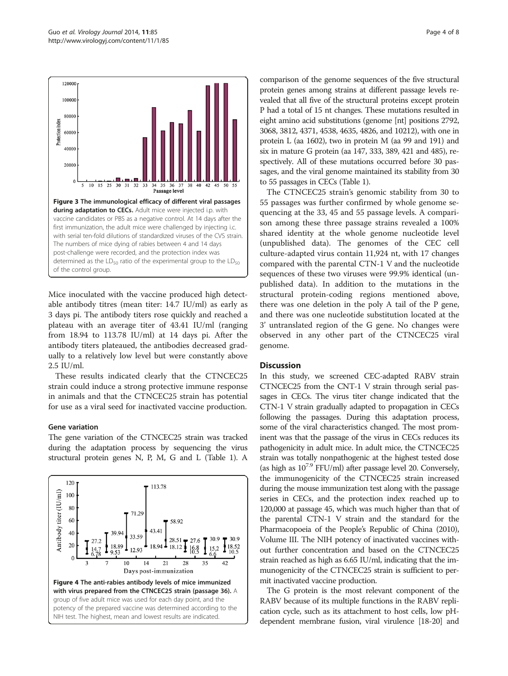<span id="page-3-0"></span>

Mice inoculated with the vaccine produced high detectable antibody titres (mean titer: 14.7 IU/ml) as early as 3 days pi. The antibody titers rose quickly and reached a plateau with an average titer of 43.41 IU/ml (ranging from 18.94 to 113.78 IU/ml) at 14 days pi. After the antibody titers plateaued, the antibodies decreased gradually to a relatively low level but were constantly above 2.5 IU/ml.

These results indicated clearly that the CTNCEC25 strain could induce a strong protective immune response in animals and that the CTNCEC25 strain has potential for use as a viral seed for inactivated vaccine production.

#### Gene variation

The gene variation of the CTNCEC25 strain was tracked during the adaptation process by sequencing the virus structural protein genes N, P, M, G and L (Table [1\)](#page-4-0). A



comparison of the genome sequences of the five structural protein genes among strains at different passage levels revealed that all five of the structural proteins except protein P had a total of 15 nt changes. These mutations resulted in eight amino acid substitutions (genome [nt] positions 2792, 3068, 3812, 4371, 4538, 4635, 4826, and 10212), with one in protein L (aa 1602), two in protein M (aa 99 and 191) and six in mature G protein (aa 147, 333, 389, 421 and 485), respectively. All of these mutations occurred before 30 passages, and the viral genome maintained its stability from 30 to 55 passages in CECs (Table [1](#page-4-0)).

The CTNCEC25 strain's genomic stability from 30 to 55 passages was further confirmed by whole genome sequencing at the 33, 45 and 55 passage levels. A comparison among these three passage strains revealed a 100% shared identity at the whole genome nucleotide level (unpublished data). The genomes of the CEC cell culture-adapted virus contain 11,924 nt, with 17 changes compared with the parental CTN-1 V and the nucleotide sequences of these two viruses were 99.9% identical (unpublished data). In addition to the mutations in the structural protein-coding regions mentioned above, there was one deletion in the poly A tail of the P gene, and there was one nucleotide substitution located at the 3' untranslated region of the G gene. No changes were observed in any other part of the CTNCEC25 viral genome.

## **Discussion**

In this study, we screened CEC-adapted RABV strain CTNCEC25 from the CNT-1 V strain through serial passages in CECs. The virus titer change indicated that the CTN-1 V strain gradually adapted to propagation in CECs following the passages. During this adaptation process, some of the viral characteristics changed. The most prominent was that the passage of the virus in CECs reduces its pathogenicity in adult mice. In adult mice, the CTNCEC25 strain was totally nonpathogenic at the highest tested dose (as high as  $10^{7.9}$  FFU/ml) after passage level 20. Conversely, the immunogenicity of the CTNCEC25 strain increased during the mouse immunization test along with the passage series in CECs, and the protection index reached up to 120,000 at passage 45, which was much higher than that of the parental CTN-1 V strain and the standard for the Pharmacopoeia of the People's Republic of China (2010), Volume III. The NIH potency of inactivated vaccines without further concentration and based on the CTNCEC25 strain reached as high as 6.65 IU/ml, indicating that the immunogenicity of the CTNCEC25 strain is sufficient to permit inactivated vaccine production.

The G protein is the most relevant component of the RABV because of its multiple functions in the RABV replication cycle, such as its attachment to host cells, low pHdependent membrane fusion, viral virulence [[18](#page-7-0)-[20\]](#page-7-0) and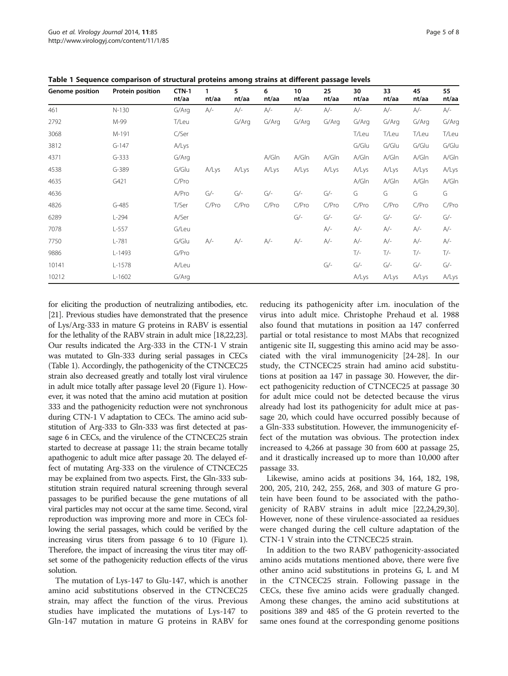| Genome position | Protein position | CTN-1<br>nt/aa | $\mathbf{1}$<br>nt/aa | 5<br>nt/aa | 6<br>nt/aa | 10<br>nt/aa | 25<br>nt/aa | 30<br>nt/aa | 33<br>nt/aa | 45<br>nt/aa | 55<br>nt/aa |
|-----------------|------------------|----------------|-----------------------|------------|------------|-------------|-------------|-------------|-------------|-------------|-------------|
| 461             | $N-130$          | G/Arg          | $A/-$                 | $A/-$      | $A/-$      | $A/-$       | $A/-$       | $A/-$       | $A/-$       | $A/-$       | A/-         |
| 2792            | M-99             | T/Leu          |                       | G/Arg      | G/Arg      | G/Arg       | G/Arg       | G/Arg       | G/Arg       | G/Arg       | G/Arg       |
| 3068            | M-191            | C/Ser          |                       |            |            |             |             | T/Leu       | T/Leu       | T/Leu       | T/Leu       |
| 3812            | $G-147$          | A/Lys          |                       |            |            |             |             | G/Glu       | G/Glu       | G/Glu       | G/Glu       |
| 4371            | $G-333$          | G/Arg          |                       |            | A/Gln      | A/Gln       | A/Gln       | A/Gln       | A/Gln       | A/Gln       | A/Gln       |
| 4538            | $G-389$          | G/Glu          | A/Lys                 | A/Lys      | A/Lys      | A/Lys       | A/Lys       | A/Lys       | A/Lys       | A/Lys       | A/Lys       |
| 4635            | G421             | C/Pro          |                       |            |            |             |             | A/Gln       | A/Gln       | A/Gln       | A/Gln       |
| 4636            |                  | A/Pro          | $G/-$                 | $G/-$      | $G/-$      | $G$ /-      | $G/-$       | G           | G           | G           | G           |
| 4826            | $G-485$          | T/Ser          | C/Pro                 | C/Pro      | C/Pro      | C/Pro       | C/Pro       | C/Pro       | C/Pro       | C/Pro       | C/Pro       |
| 6289            | $L-294$          | A/Ser          |                       |            |            | $G/-$       | $G/-$       | $G/-$       | $G/-$       | $G/-$       | $G/-$       |
| 7078            | $L-557$          | G/Leu          |                       |            |            |             | $A/-$       | $A/-$       | $A/-$       | $A/-$       | $A/-$       |
| 7750            | $L - 781$        | G/Glu          | $A/-$                 | $A/-$      | $A/-$      | $A/-$       | $A/-$       | $A/-$       | $A/-$       | $A/-$       | $A/-$       |
| 9886            | $L-1493$         | G/Pro          |                       |            |            |             |             | $T/-$       | $T/-$       | $T/-$       | $T/-$       |
| 10141           | $L-1578$         | A/Leu          |                       |            |            |             | $G/-$       | $G/-$       | $G/-$       | $G/-$       | $G/-$       |
| 10212           | $L-1602$         | G/Arg          |                       |            |            |             |             | A/Lys       | A/Lys       | A/Lys       | A/Lys       |

<span id="page-4-0"></span>Table 1 Sequence comparison of structural proteins among strains at different passage levels

for eliciting the production of neutralizing antibodies, etc. [[21](#page-7-0)]. Previous studies have demonstrated that the presence of Lys/Arg-333 in mature G proteins in RABV is essential for the lethality of the RABV strain in adult mice [\[18,22,23](#page-7-0)]. Our results indicated the Arg-333 in the CTN-1 V strain was mutated to Gln-333 during serial passages in CECs (Table 1). Accordingly, the pathogenicity of the CTNCEC25 strain also decreased greatly and totally lost viral virulence in adult mice totally after passage level 20 (Figure [1](#page-2-0)). However, it was noted that the amino acid mutation at position 333 and the pathogenicity reduction were not synchronous during CTN-1 V adaptation to CECs. The amino acid substitution of Arg-333 to Gln-333 was first detected at passage 6 in CECs, and the virulence of the CTNCEC25 strain started to decrease at passage 11; the strain became totally apathogenic to adult mice after passage 20. The delayed effect of mutating Arg-333 on the virulence of CTNCEC25 may be explained from two aspects. First, the Gln-333 substitution strain required natural screening through several passages to be purified because the gene mutations of all viral particles may not occur at the same time. Second, viral reproduction was improving more and more in CECs following the serial passages, which could be verified by the increasing virus titers from passage 6 to 10 (Figure [1](#page-2-0)). Therefore, the impact of increasing the virus titer may offset some of the pathogenicity reduction effects of the virus solution.

The mutation of Lys-147 to Glu-147, which is another amino acid substitutions observed in the CTNCEC25 strain, may affect the function of the virus. Previous studies have implicated the mutations of Lys-147 to Gln-147 mutation in mature G proteins in RABV for reducing its pathogenicity after i.m. inoculation of the virus into adult mice. Christophe Prehaud et al. 1988 also found that mutations in position aa 147 conferred partial or total resistance to most MAbs that recognized antigenic site II, suggesting this amino acid may be associated with the viral immunogenicity [[24-28\]](#page-7-0). In our study, the CTNCEC25 strain had amino acid substitutions at position aa 147 in passage 30. However, the direct pathogenicity reduction of CTNCEC25 at passage 30 for adult mice could not be detected because the virus already had lost its pathogenicity for adult mice at passage 20, which could have occurred possibly because of a Gln-333 substitution. However, the immunogenicity effect of the mutation was obvious. The protection index increased to 4,266 at passage 30 from 600 at passage 25, and it drastically increased up to more than 10,000 after passage 33.

Likewise, amino acids at positions 34, 164, 182, 198, 200, 205, 210, 242, 255, 268, and 303 of mature G protein have been found to be associated with the pathogenicity of RABV strains in adult mice [[22](#page-7-0),[24,29,30](#page-7-0)]. However, none of these virulence-associated aa residues were changed during the cell culture adaptation of the CTN-1 V strain into the CTNCEC25 strain.

In addition to the two RABV pathogenicity-associated amino acids mutations mentioned above, there were five other amino acid substitutions in proteins G, L and M in the CTNCEC25 strain. Following passage in the CECs, these five amino acids were gradually changed. Among these changes, the amino acid substitutions at positions 389 and 485 of the G protein reverted to the same ones found at the corresponding genome positions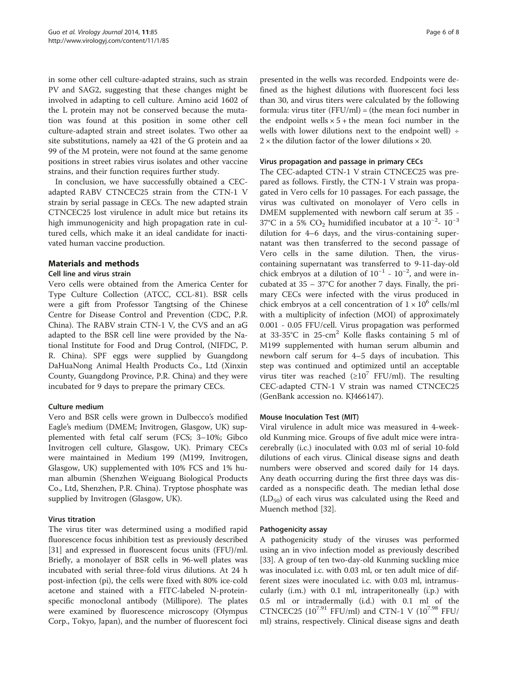in some other cell culture-adapted strains, such as strain PV and SAG2, suggesting that these changes might be involved in adapting to cell culture. Amino acid 1602 of the L protein may not be conserved because the mutation was found at this position in some other cell culture-adapted strain and street isolates. Two other aa site substitutions, namely aa 421 of the G protein and aa 99 of the M protein, were not found at the same genome positions in street rabies virus isolates and other vaccine strains, and their function requires further study.

In conclusion, we have successfully obtained a CECadapted RABV CTNCEC25 strain from the CTN-1 V strain by serial passage in CECs. The new adapted strain CTNCEC25 lost virulence in adult mice but retains its high immunogenicity and high propagation rate in cultured cells, which make it an ideal candidate for inactivated human vaccine production.

# Materials and methods

## Cell line and virus strain

Vero cells were obtained from the America Center for Type Culture Collection (ATCC, CCL-81). BSR cells were a gift from Professor Tangtsing of the Chinese Centre for Disease Control and Prevention (CDC, P.R. China). The RABV strain CTN-1 V, the CVS and an aG adapted to the BSR cell line were provided by the National Institute for Food and Drug Control, (NIFDC, P. R. China). SPF eggs were supplied by Guangdong DaHuaNong Animal Health Products Co., Ltd (Xinxin County, Guangdong Province, P.R. China) and they were incubated for 9 days to prepare the primary CECs.

# Culture medium

Vero and BSR cells were grown in Dulbecco's modified Eagle's medium (DMEM; Invitrogen, Glasgow, UK) supplemented with fetal calf serum (FCS; 3–10%; Gibco Invitrogen cell culture, Glasgow, UK). Primary CECs were maintained in Medium 199 (M199, Invitrogen, Glasgow, UK) supplemented with 10% FCS and 1% human albumin (Shenzhen Weiguang Biological Products Co., Ltd, Shenzhen, P.R. China). Tryptose phosphate was supplied by Invitrogen (Glasgow, UK).

# Virus titration

The virus titer was determined using a modified rapid fluorescence focus inhibition test as previously described [[31\]](#page-7-0) and expressed in fluorescent focus units (FFU)/ml. Briefly, a monolayer of BSR cells in 96-well plates was incubated with serial three-fold virus dilutions. At 24 h post-infection (pi), the cells were fixed with 80% ice-cold acetone and stained with a FITC-labeled N-proteinspecific monoclonal antibody (Millipore). The plates were examined by fluorescence microscopy (Olympus Corp., Tokyo, Japan), and the number of fluorescent foci presented in the wells was recorded. Endpoints were defined as the highest dilutions with fluorescent foci less than 30, and virus titers were calculated by the following formula: virus titer  $(FFU/ml) = (the mean foci number in$ the endpoint wells  $\times$  5 + the mean foci number in the wells with lower dilutions next to the endpoint well)  $\div$  $2 \times$  the dilution factor of the lower dilutions  $\times$  20.

## Virus propagation and passage in primary CECs

The CEC-adapted CTN-1 V strain CTNCEC25 was prepared as follows. Firstly, the CTN-1 V strain was propagated in Vero cells for 10 passages. For each passage, the virus was cultivated on monolayer of Vero cells in DMEM supplemented with newborn calf serum at 35 - 37°C in a 5% CO<sub>2</sub> humidified incubator at a 10<sup>-2</sup>- 10<sup>-3</sup> dilution for 4–6 days, and the virus-containing supernatant was then transferred to the second passage of Vero cells in the same dilution. Then, the viruscontaining supernatant was transferred to 9-11-day-old chick embryos at a dilution of  $10^{-1}$  -  $10^{-2}$ , and were incubated at  $35 - 37^{\circ}$ C for another 7 days. Finally, the primary CECs were infected with the virus produced in chick embryos at a cell concentration of  $1 \times 10^6$  cells/ml with a multiplicity of infection (MOI) of approximately 0.001 - 0.05 FFU/cell. Virus propagation was performed at  $33-35^{\circ}$ C in  $25$ -cm<sup>2</sup> Kolle flasks containing 5 ml of M199 supplemented with human serum albumin and newborn calf serum for 4–5 days of incubation. This step was continued and optimized until an acceptable virus titer was reached  $(\geq 10^7 \text{ FFU/ml})$ . The resulting CEC-adapted CTN-1 V strain was named CTNCEC25 (GenBank accession no. KJ466147).

## Mouse Inoculation Test (MIT)

Viral virulence in adult mice was measured in 4-weekold Kunming mice. Groups of five adult mice were intracerebrally (i.c.) inoculated with 0.03 ml of serial 10-fold dilutions of each virus. Clinical disease signs and death numbers were observed and scored daily for 14 days. Any death occurring during the first three days was discarded as a nonspecific death. The median lethal dose  $(LD_{50})$  of each virus was calculated using the Reed and Muench method [\[32\]](#page-7-0).

## Pathogenicity assay

A pathogenicity study of the viruses was performed using an in vivo infection model as previously described [[33\]](#page-7-0). A group of ten two-day-old Kunming suckling mice was inoculated i.c. with 0.03 ml, or ten adult mice of different sizes were inoculated i.c. with 0.03 ml, intramuscularly (i.m.) with 0.1 ml, intraperitoneally (i.p.) with 0.5 ml or intradermally (i.d.) with 0.1 ml of the CTNCEC25 ( $10^{7.91}$  FFU/ml) and CTN-1 V ( $10^{7.98}$  FFU/ ml) strains, respectively. Clinical disease signs and death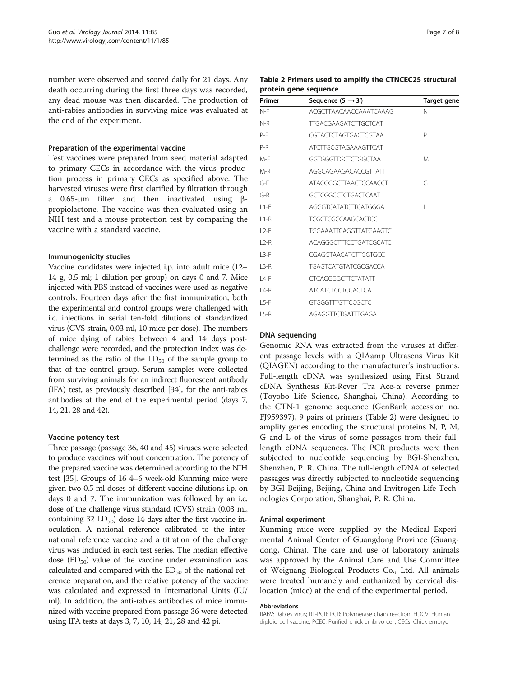number were observed and scored daily for 21 days. Any death occurring during the first three days was recorded, any dead mouse was then discarded. The production of anti-rabies antibodies in surviving mice was evaluated at the end of the experiment.

## Preparation of the experimental vaccine

Test vaccines were prepared from seed material adapted to primary CECs in accordance with the virus production process in primary CECs as specified above. The harvested viruses were first clarified by filtration through a 0.65-μm filter and then inactivated using βpropiolactone. The vaccine was then evaluated using an NIH test and a mouse protection test by comparing the vaccine with a standard vaccine.

### Immunogenicity studies

Vaccine candidates were injected i.p. into adult mice (12– 14 g, 0.5 ml; 1 dilution per group) on days 0 and 7. Mice injected with PBS instead of vaccines were used as negative controls. Fourteen days after the first immunization, both the experimental and control groups were challenged with i.c. injections in serial ten-fold dilutions of standardized virus (CVS strain, 0.03 ml, 10 mice per dose). The numbers of mice dying of rabies between 4 and 14 days postchallenge were recorded, and the protection index was determined as the ratio of the  $LD_{50}$  of the sample group to that of the control group. Serum samples were collected from surviving animals for an indirect fluorescent antibody (IFA) test, as previously described [\[34](#page-7-0)], for the anti-rabies antibodies at the end of the experimental period (days 7, 14, 21, 28 and 42).

### Vaccine potency test

Three passage (passage 36, 40 and 45) viruses were selected to produce vaccines without concentration. The potency of the prepared vaccine was determined according to the NIH test [\[35](#page-7-0)]. Groups of 16 4–6 week-old Kunming mice were given two 0.5 ml doses of different vaccine dilutions i.p. on days 0 and 7. The immunization was followed by an i.c. dose of the challenge virus standard (CVS) strain (0.03 ml, containing 32  $LD_{50}$  dose 14 days after the first vaccine inoculation. A national reference calibrated to the international reference vaccine and a titration of the challenge virus was included in each test series. The median effective dose  $(ED_{50})$  value of the vaccine under examination was calculated and compared with the  $ED_{50}$  of the national reference preparation, and the relative potency of the vaccine was calculated and expressed in International Units (IU/ ml). In addition, the anti-rabies antibodies of mice immunized with vaccine prepared from passage 36 were detected using IFA tests at days 3, 7, 10, 14, 21, 28 and 42 pi.

|                       |  | Table 2 Primers used to amplify the CTNCEC25 structural |  |
|-----------------------|--|---------------------------------------------------------|--|
| protein gene sequence |  |                                                         |  |

| Primer  | Sequence $(5' \rightarrow 3')$ | <b>Target gene</b> |
|---------|--------------------------------|--------------------|
| N-F     | ACGCTTAACAACCAAATCAAAG         | N                  |
| N-R     | <b>TTGACGAAGATCTTGCTCAT</b>    |                    |
| P-F     | CGTACTCTAGTGACTCGTAA           | P                  |
| P-R     | ATCTTGCGTAGAAAGTTCAT           |                    |
| $M-F$   | GGTGGGTTGCTCTGGCTAA            | M                  |
| $M-R$   | AGGCAGAAGACACCGTTATT           |                    |
| $G-F$   | ATACGGGCTTAACTCCAACCT          | G                  |
| $G-R$   | GCTCGGCCTCTGACTCAAT            |                    |
| $11-F$  | AGGGTCATATCTTCATGGGA           | L                  |
| $11-R$  | <b>TCGCTCGCCAAGCACTCC</b>      |                    |
| $12-F$  | <b>TGGAAATTCAGGTTATGAAGTC</b>  |                    |
| $12-R$  | ACAGGGCTTTCCTGATCGCATC         |                    |
| $1.3-F$ | CGAGGTAACATCTTGGTGCC           |                    |
| $13-R$  | <b>TGAGTCATGTATCGCGACCA</b>    |                    |
| $14-F$  | <b>CTCAGGGGCTTCTATATT</b>      |                    |
| $14-R$  | <b>ATCATCTCCTCCACTCAT</b>      |                    |
| $1.5-F$ | GTGGGTTTGTTCCGCTC              |                    |
| $15-R$  | AGAGGTTCTGATTTGAGA             |                    |

## DNA sequencing

Genomic RNA was extracted from the viruses at different passage levels with a QIAamp Ultrasens Virus Kit (QIAGEN) according to the manufacturer's instructions. Full-length cDNA was synthesized using First Strand cDNA Synthesis Kit-Rever Tra Ace-α reverse primer (Toyobo Life Science, Shanghai, China). According to the CTN-1 genome sequence (GenBank accession no. FJ959397), 9 pairs of primers (Table 2) were designed to amplify genes encoding the structural proteins N, P, M, G and L of the virus of some passages from their fulllength cDNA sequences. The PCR products were then subjected to nucleotide sequencing by BGI-Shenzhen, Shenzhen, P. R. China. The full-length cDNA of selected passages was directly subjected to nucleotide sequencing by BGI-Beijing, Beijing, China and Invitrogen Life Technologies Corporation, Shanghai, P. R. China.

#### Animal experiment

Kunming mice were supplied by the Medical Experimental Animal Center of Guangdong Province (Guangdong, China). The care and use of laboratory animals was approved by the Animal Care and Use Committee of Weiguang Biological Products Co., Ltd. All animals were treated humanely and euthanized by cervical dislocation (mice) at the end of the experimental period.

#### Abbreviations

RABV: Rabies virus; RT-PCR: PCR: Polymerase chain reaction; HDCV: Human diploid cell vaccine; PCEC: Purified chick embryo cell; CECs: Chick embryo